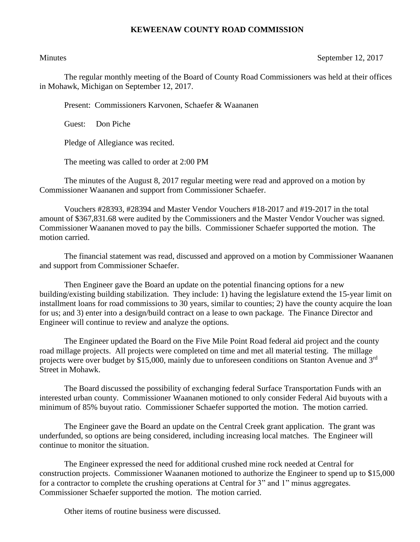## **KEWEENAW COUNTY ROAD COMMISSION**

Minutes September 12, 2017

The regular monthly meeting of the Board of County Road Commissioners was held at their offices in Mohawk, Michigan on September 12, 2017.

Present: Commissioners Karvonen, Schaefer & Waananen

Guest: Don Piche

Pledge of Allegiance was recited.

The meeting was called to order at 2:00 PM

The minutes of the August 8, 2017 regular meeting were read and approved on a motion by Commissioner Waananen and support from Commissioner Schaefer.

Vouchers #28393, #28394 and Master Vendor Vouchers #18-2017 and #19-2017 in the total amount of \$367,831.68 were audited by the Commissioners and the Master Vendor Voucher was signed. Commissioner Waananen moved to pay the bills. Commissioner Schaefer supported the motion. The motion carried.

The financial statement was read, discussed and approved on a motion by Commissioner Waananen and support from Commissioner Schaefer.

Then Engineer gave the Board an update on the potential financing options for a new building/existing building stabilization. They include: 1) having the legislature extend the 15-year limit on installment loans for road commissions to 30 years, similar to counties; 2) have the county acquire the loan for us; and 3) enter into a design/build contract on a lease to own package. The Finance Director and Engineer will continue to review and analyze the options.

The Engineer updated the Board on the Five Mile Point Road federal aid project and the county road millage projects. All projects were completed on time and met all material testing. The millage projects were over budget by \$15,000, mainly due to unforeseen conditions on Stanton Avenue and 3<sup>rd</sup> Street in Mohawk.

The Board discussed the possibility of exchanging federal Surface Transportation Funds with an interested urban county. Commissioner Waananen motioned to only consider Federal Aid buyouts with a minimum of 85% buyout ratio. Commissioner Schaefer supported the motion. The motion carried.

The Engineer gave the Board an update on the Central Creek grant application. The grant was underfunded, so options are being considered, including increasing local matches. The Engineer will continue to monitor the situation.

The Engineer expressed the need for additional crushed mine rock needed at Central for construction projects. Commissioner Waananen motioned to authorize the Engineer to spend up to \$15,000 for a contractor to complete the crushing operations at Central for 3" and 1" minus aggregates. Commissioner Schaefer supported the motion. The motion carried.

Other items of routine business were discussed.